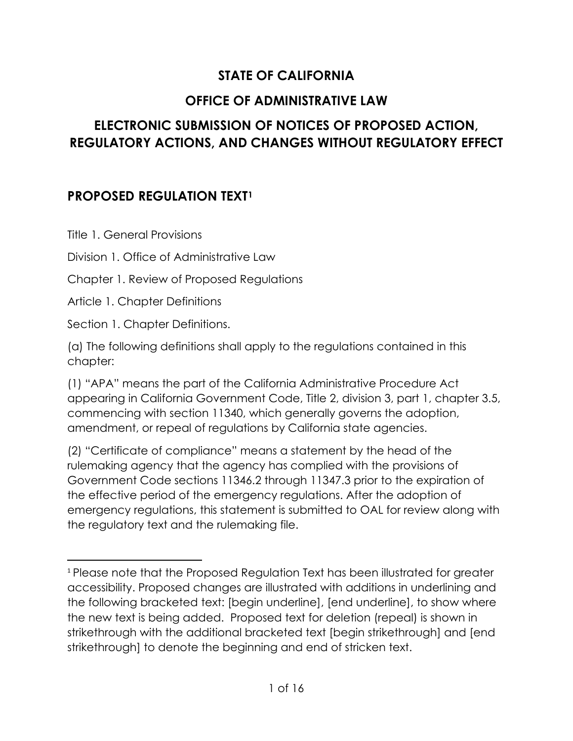## **STATE OF CALIFORNIA**

## **OFFICE OF ADMINISTRATIVE LAW**

## **ELECTRONIC SUBMISSION OF NOTICES OF PROPOSED ACTION, REGULATORY ACTIONS, AND CHANGES WITHOUT REGULATORY EFFECT**

## **PROPOSED REGULATION TEXT[1](#page-0-0)**

Title 1. General Provisions

Division 1. Office of Administrative Law

Chapter 1. Review of Proposed Regulations

Article 1. Chapter Definitions

Section 1. Chapter Definitions.

(a) The following definitions shall apply to the regulations contained in this chapter:

(1) "APA" means the part of the California Administrative Procedure Act appearing in California Government Code, Title 2, division 3, part 1, chapter 3.5, commencing with section 11340, which generally governs the adoption, amendment, or repeal of regulations by California state agencies.

(2) "Certificate of compliance" means a statement by the head of the rulemaking agency that the agency has complied with the provisions of Government Code sections 11346.2 through 11347.3 prior to the expiration of the effective period of the emergency regulations. After the adoption of emergency regulations, this statement is submitted to OAL for review along with the regulatory text and the rulemaking file.

<span id="page-0-0"></span><sup>1</sup> Please note that the Proposed Regulation Text has been illustrated for greater accessibility. Proposed changes are illustrated with additions in underlining and the following bracketed text: [begin underline], [end underline], to show where the new text is being added. Proposed text for deletion (repeal) is shown in strikethrough with the additional bracketed text [begin strikethrough] and [end strikethrough] to denote the beginning and end of stricken text.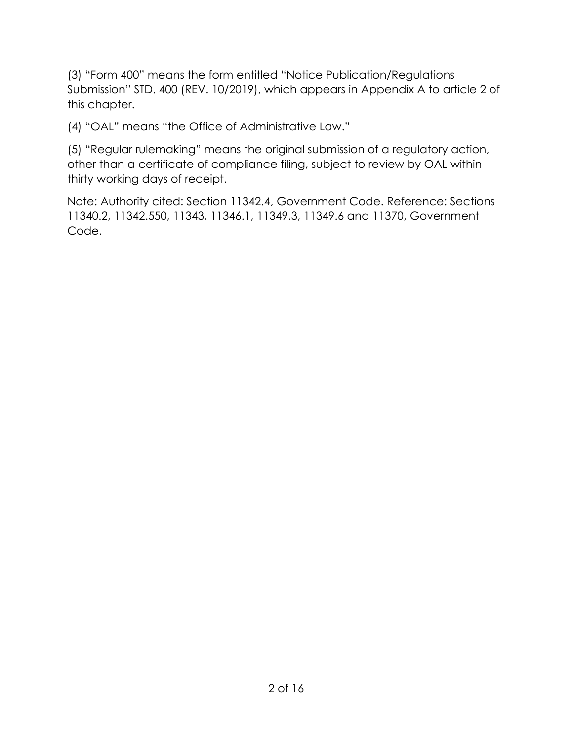(3) "Form 400" means the form entitled "Notice Publication/Regulations Submission" STD. 400 (REV. 10/2019), which appears in Appendix A to article 2 of this chapter.

(4) "OAL" means "the Office of Administrative Law."

(5) "Regular rulemaking" means the original submission of a regulatory action, other than a certificate of compliance filing, subject to review by OAL within thirty working days of receipt.

Note: Authority cited: Section 11342.4, Government Code. Reference: Sections 11340.2, 11342.550, 11343, 11346.1, 11349.3, 11349.6 and 11370, Government Code.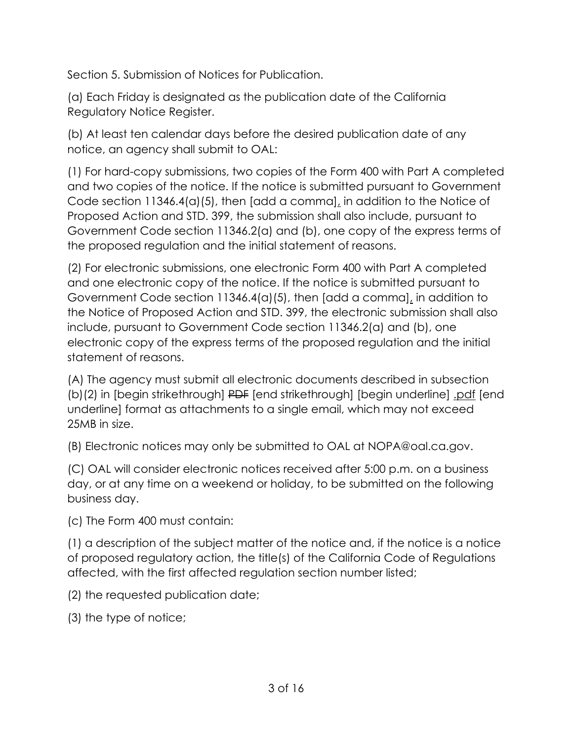Section 5. Submission of Notices for Publication.

(a) Each Friday is designated as the publication date of the California Regulatory Notice Register.

(b) At least ten calendar days before the desired publication date of any notice, an agency shall submit to OAL:

(1) For hard-copy submissions, two copies of the Form 400 with Part A completed and two copies of the notice. If the notice is submitted pursuant to Government Code section 11346.4(a)(5), then [add a comma], in addition to the Notice of Proposed Action and STD. 399, the submission shall also include, pursuant to Government Code section 11346.2(a) and (b), one copy of the express terms of the proposed regulation and the initial statement of reasons.

(2) For electronic submissions, one electronic Form 400 with Part A completed and one electronic copy of the notice. If the notice is submitted pursuant to Government Code section 11346.4(a)(5), then [add a comma], in addition to the Notice of Proposed Action and STD. 399, the electronic submission shall also include, pursuant to Government Code section 11346.2(a) and (b), one electronic copy of the express terms of the proposed regulation and the initial statement of reasons.

(A) The agency must submit all electronic documents described in subsection (b)(2) in [begin strikethrough] PDF [end strikethrough] [begin underline] .pdf [end underline] format as attachments to a single email, which may not exceed 25MB in size.

(B) Electronic notices may only be submitted to OAL at NOPA@oal.ca.gov.

(C) OAL will consider electronic notices received after 5:00 p.m. on a business day, or at any time on a weekend or holiday, to be submitted on the following business day.

(c) The Form 400 must contain:

(1) a description of the subject matter of the notice and, if the notice is a notice of proposed regulatory action, the title(s) of the California Code of Regulations affected, with the first affected regulation section number listed;

(2) the requested publication date;

(3) the type of notice;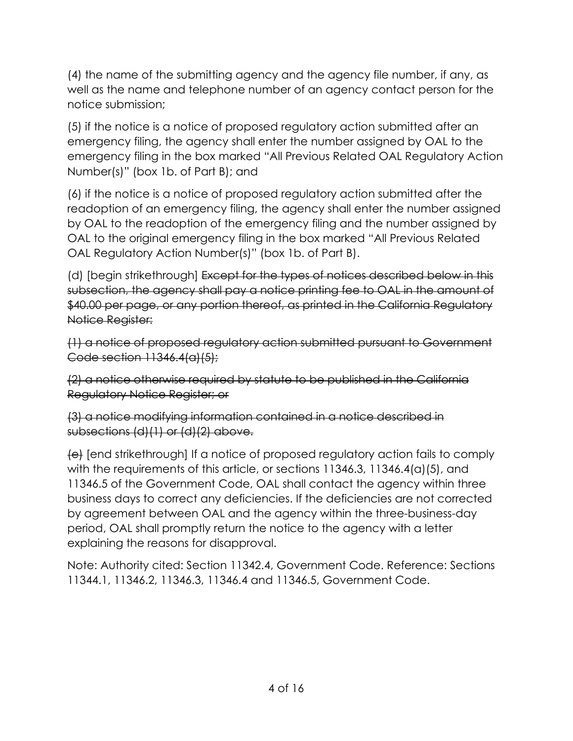(4) the name of the submitting agency and the agency file number, if any, as well as the name and telephone number of an agency contact person for the notice submission;

(5) if the notice is a notice of proposed regulatory action submitted after an emergency filing, the agency shall enter the number assigned by OAL to the emergency filing in the box marked "All Previous Related OAL Regulatory Action Number(s)" (box 1b. of Part B); and

(6) if the notice is a notice of proposed regulatory action submitted after the readoption of an emergency filing, the agency shall enter the number assigned by OAL to the readoption of the emergency filing and the number assigned by OAL to the original emergency filing in the box marked "All Previous Related OAL Regulatory Action Number(s)" (box 1b. of Part B).

(d) [begin strikethrough] Except for the types of notices described below in this subsection, the agency shall pay a notice printing fee to OAL in the amount of \$40.00 per page, or any portion thereof, as printed in the California Regulatory Notice Register:

(1) a notice of proposed regulatory action submitted pursuant to Government Code section 11346.4(a)(5);

(2) a notice otherwise required by statute to be published in the California Regulatory Notice Register; or

(3) a notice modifying information contained in a notice described in subsections (d)(1) or (d)(2) above.

(e) [end strikethrough] If a notice of proposed regulatory action fails to comply with the requirements of this article, or sections 11346.3, 11346.4(a)(5), and 11346.5 of the Government Code, OAL shall contact the agency within three business days to correct any deficiencies. If the deficiencies are not corrected by agreement between OAL and the agency within the three-business-day period, OAL shall promptly return the notice to the agency with a letter explaining the reasons for disapproval.

Note: Authority cited: Section 11342.4, Government Code. Reference: Sections 11344.1, 11346.2, 11346.3, 11346.4 and 11346.5, Government Code.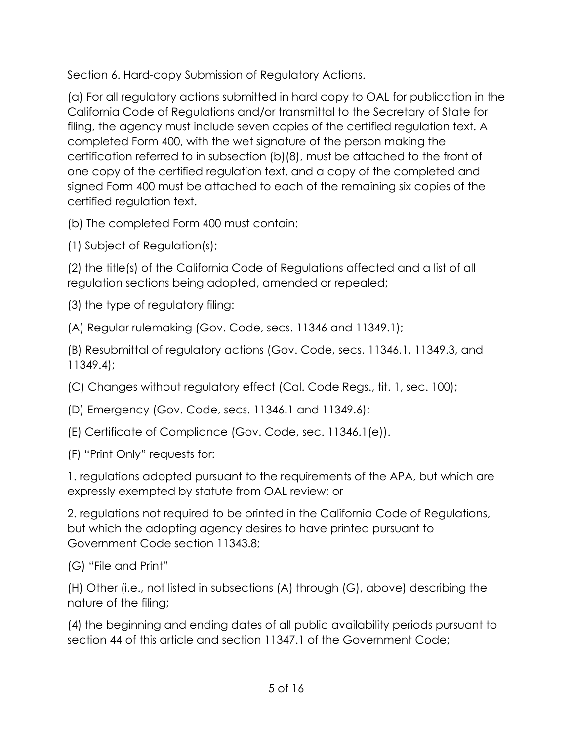Section 6. Hard-copy Submission of Regulatory Actions.

(a) For all regulatory actions submitted in hard copy to OAL for publication in the California Code of Regulations and/or transmittal to the Secretary of State for filing, the agency must include seven copies of the certified regulation text. A completed Form 400, with the wet signature of the person making the certification referred to in subsection (b)(8), must be attached to the front of one copy of the certified regulation text, and a copy of the completed and signed Form 400 must be attached to each of the remaining six copies of the certified regulation text.

(b) The completed Form 400 must contain:

(1) Subject of Regulation(s);

(2) the title(s) of the California Code of Regulations affected and a list of all regulation sections being adopted, amended or repealed;

(3) the type of regulatory filing:

(A) Regular rulemaking (Gov. Code, secs. 11346 and 11349.1);

(B) Resubmittal of regulatory actions (Gov. Code, secs. 11346.1, 11349.3, and 11349.4);

(C) Changes without regulatory effect (Cal. Code Regs., tit. 1, sec. 100);

(D) Emergency (Gov. Code, secs. 11346.1 and 11349.6);

(E) Certificate of Compliance (Gov. Code, sec. 11346.1(e)).

(F) "Print Only" requests for:

1. regulations adopted pursuant to the requirements of the APA, but which are expressly exempted by statute from OAL review; or

2. regulations not required to be printed in the California Code of Regulations, but which the adopting agency desires to have printed pursuant to Government Code section 11343.8;

(G) "File and Print"

(H) Other (i.e., not listed in subsections (A) through (G), above) describing the nature of the filing;

(4) the beginning and ending dates of all public availability periods pursuant to section 44 of this article and section 11347.1 of the Government Code;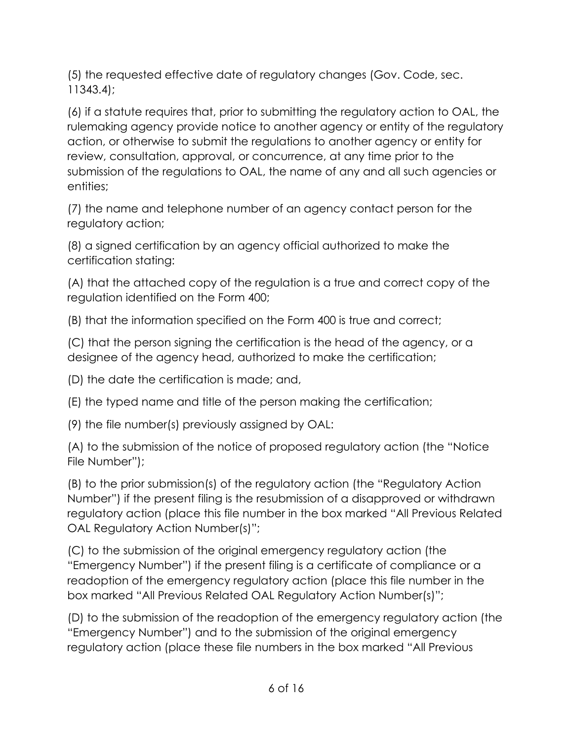(5) the requested effective date of regulatory changes (Gov. Code, sec. 11343.4);

(6) if a statute requires that, prior to submitting the regulatory action to OAL, the rulemaking agency provide notice to another agency or entity of the regulatory action, or otherwise to submit the regulations to another agency or entity for review, consultation, approval, or concurrence, at any time prior to the submission of the regulations to OAL, the name of any and all such agencies or entities;

(7) the name and telephone number of an agency contact person for the regulatory action;

(8) a signed certification by an agency official authorized to make the certification stating:

(A) that the attached copy of the regulation is a true and correct copy of the regulation identified on the Form 400;

(B) that the information specified on the Form 400 is true and correct;

(C) that the person signing the certification is the head of the agency, or a designee of the agency head, authorized to make the certification;

(D) the date the certification is made; and,

(E) the typed name and title of the person making the certification;

(9) the file number(s) previously assigned by OAL:

(A) to the submission of the notice of proposed regulatory action (the "Notice File Number");

(B) to the prior submission(s) of the regulatory action (the "Regulatory Action Number") if the present filing is the resubmission of a disapproved or withdrawn regulatory action (place this file number in the box marked "All Previous Related OAL Regulatory Action Number(s)";

(C) to the submission of the original emergency regulatory action (the "Emergency Number") if the present filing is a certificate of compliance or a readoption of the emergency regulatory action (place this file number in the box marked "All Previous Related OAL Regulatory Action Number(s)";

(D) to the submission of the readoption of the emergency regulatory action (the "Emergency Number") and to the submission of the original emergency regulatory action (place these file numbers in the box marked "All Previous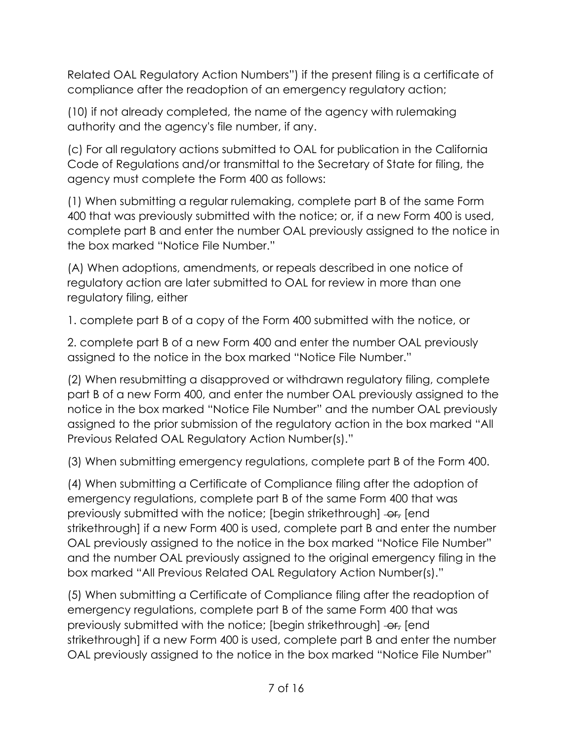Related OAL Regulatory Action Numbers") if the present filing is a certificate of compliance after the readoption of an emergency regulatory action;

(10) if not already completed, the name of the agency with rulemaking authority and the agency's file number, if any.

(c) For all regulatory actions submitted to OAL for publication in the California Code of Regulations and/or transmittal to the Secretary of State for filing, the agency must complete the Form 400 as follows:

(1) When submitting a regular rulemaking, complete part B of the same Form 400 that was previously submitted with the notice; or, if a new Form 400 is used, complete part B and enter the number OAL previously assigned to the notice in the box marked "Notice File Number."

(A) When adoptions, amendments, or repeals described in one notice of regulatory action are later submitted to OAL for review in more than one regulatory filing, either

1. complete part B of a copy of the Form 400 submitted with the notice, or

2. complete part B of a new Form 400 and enter the number OAL previously assigned to the notice in the box marked "Notice File Number."

(2) When resubmitting a disapproved or withdrawn regulatory filing, complete part B of a new Form 400, and enter the number OAL previously assigned to the notice in the box marked "Notice File Number" and the number OAL previously assigned to the prior submission of the regulatory action in the box marked "All Previous Related OAL Regulatory Action Number(s)."

(3) When submitting emergency regulations, complete part B of the Form 400.

(4) When submitting a Certificate of Compliance filing after the adoption of emergency regulations, complete part B of the same Form 400 that was previously submitted with the notice; [begin strikethrough] -or, [end strikethrough] if a new Form 400 is used, complete part B and enter the number OAL previously assigned to the notice in the box marked "Notice File Number" and the number OAL previously assigned to the original emergency filing in the box marked "All Previous Related OAL Regulatory Action Number(s)."

(5) When submitting a Certificate of Compliance filing after the readoption of emergency regulations, complete part B of the same Form 400 that was previously submitted with the notice; [begin strikethrough]  $-$ or, [end strikethrough] if a new Form 400 is used, complete part B and enter the number OAL previously assigned to the notice in the box marked "Notice File Number"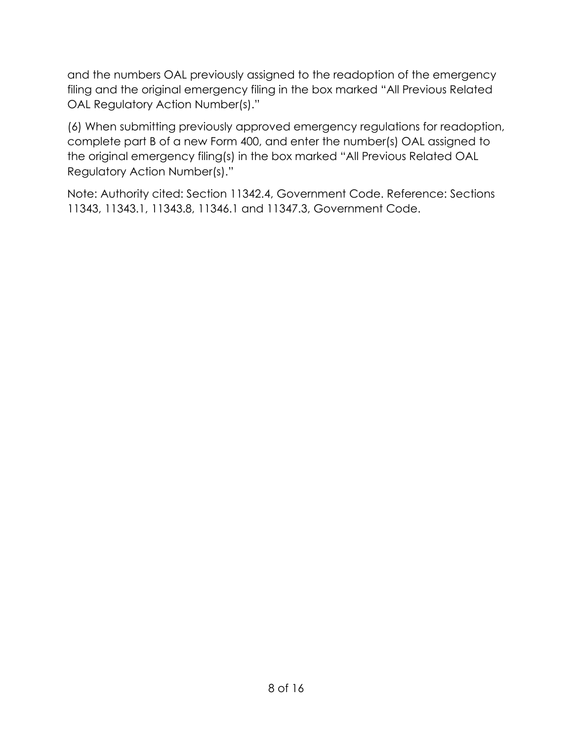and the numbers OAL previously assigned to the readoption of the emergency filing and the original emergency filing in the box marked "All Previous Related OAL Regulatory Action Number(s)."

(6) When submitting previously approved emergency regulations for readoption, complete part B of a new Form 400, and enter the number(s) OAL assigned to the original emergency filing(s) in the box marked "All Previous Related OAL Regulatory Action Number(s)."

Note: Authority cited: Section 11342.4, Government Code. Reference: Sections 11343, 11343.1, 11343.8, 11346.1 and 11347.3, Government Code.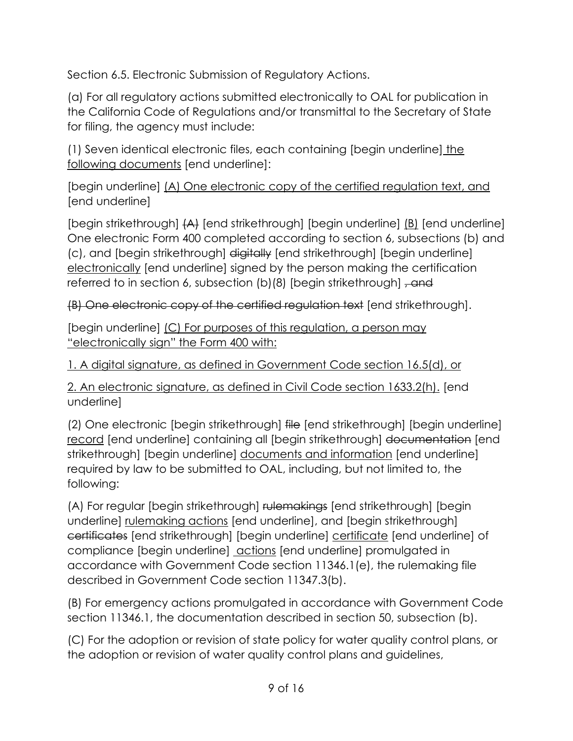Section 6.5. Electronic Submission of Regulatory Actions.

(a) For all regulatory actions submitted electronically to OAL for publication in the California Code of Regulations and/or transmittal to the Secretary of State for filing, the agency must include:

(1) Seven identical electronic files, each containing [begin underline] the following documents [end underline]:

[begin underline] (A) One electronic copy of the certified regulation text, and [end underline]

[begin strikethrough] (A) [end strikethrough] [begin underline] (B) [end underline] One electronic Form 400 completed according to section 6, subsections (b) and (c), and [begin strikethrough] digitally [end strikethrough] [begin underline] electronically [end underline] signed by the person making the certification referred to in section 6, subsection  $(b)(8)$  [begin strikethrough]  $\tau$  and

(B) One electronic copy of the certified regulation text [end strikethrough].

[begin underline] (C) For purposes of this regulation, a person may "electronically sign" the Form 400 with:

1. A digital signature, as defined in Government Code section 16.5(d), or

2. An electronic signature, as defined in Civil Code section 1633.2(h). [end underline]

(2) One electronic [begin strikethrough] file [end strikethrough] [begin underline] record [end underline] containing all [begin strikethrough] documentation [end strikethrough] [begin underline] documents and information [end underline] required by law to be submitted to OAL, including, but not limited to, the following:

(A) For regular [begin strikethrough] rulemakings [end strikethrough] [begin underline] rulemaking actions [end underline], and [begin strikethrough] certificates [end strikethrough] [begin underline] certificate [end underline] of compliance [begin underline] actions [end underline] promulgated in accordance with Government Code section 11346.1(e), the rulemaking file described in Government Code section 11347.3(b).

(B) For emergency actions promulgated in accordance with Government Code section 11346.1, the documentation described in section 50, subsection (b).

(C) For the adoption or revision of state policy for water quality control plans, or the adoption or revision of water quality control plans and guidelines,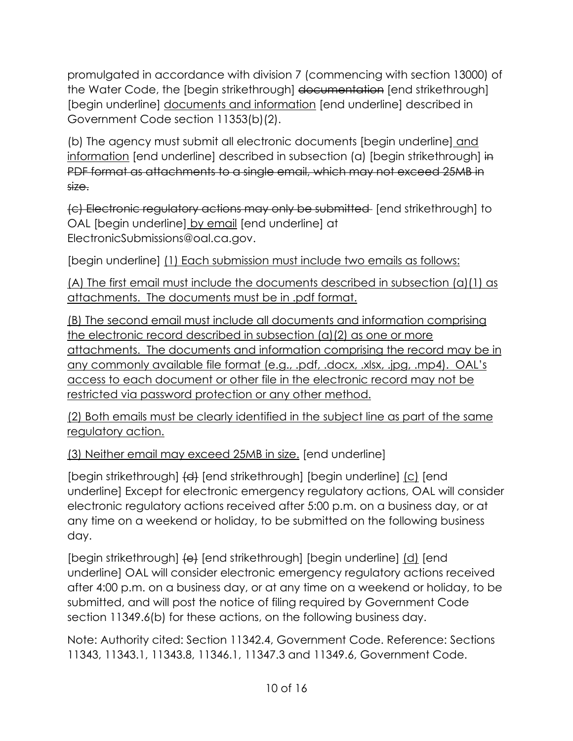promulgated in accordance with division 7 (commencing with section 13000) of the Water Code, the [begin strikethrough] documentation [end strikethrough] [begin underline] documents and information [end underline] described in Government Code section 11353(b)(2).

(b) The agency must submit all electronic documents [begin underline] and information [end underline] described in subsection (a) [begin strikethrough] in PDF format as attachments to a single email, which may not exceed 25MB in size.

(c) Electronic regulatory actions may only be submitted [end strikethrough] to OAL [begin underline] by email [end underline] at ElectronicSubmissions@oal.ca.gov.

[begin underline] (1) Each submission must include two emails as follows:

(A) The first email must include the documents described in subsection (a)(1) as attachments. The documents must be in .pdf format.

(B) The second email must include all documents and information comprising the electronic record described in subsection (a)(2) as one or more attachments. The documents and information comprising the record may be in any commonly available file format (e.g., .pdf, .docx, .xlsx, .jpg, .mp4). OAL's access to each document or other file in the electronic record may not be restricted via password protection or any other method.

(2) Both emails must be clearly identified in the subject line as part of the same regulatory action.

(3) Neither email may exceed 25MB in size. [end underline]

[begin strikethrough]  $\left\{\left| d \right\rangle \right\}$  [end strikethrough] [begin underline] (c) [end underline] Except for electronic emergency regulatory actions, OAL will consider electronic regulatory actions received after 5:00 p.m. on a business day, or at any time on a weekend or holiday, to be submitted on the following business day.

[begin strikethrough]  $\left\{ \theta \right\}$  [end strikethrough] [begin underline]  $\left\{ d \right\}$  [end underline] OAL will consider electronic emergency regulatory actions received after 4:00 p.m. on a business day, or at any time on a weekend or holiday, to be submitted, and will post the notice of filing required by Government Code section 11349.6(b) for these actions, on the following business day.

Note: Authority cited: Section 11342.4, Government Code. Reference: Sections 11343, 11343.1, 11343.8, 11346.1, 11347.3 and 11349.6, Government Code.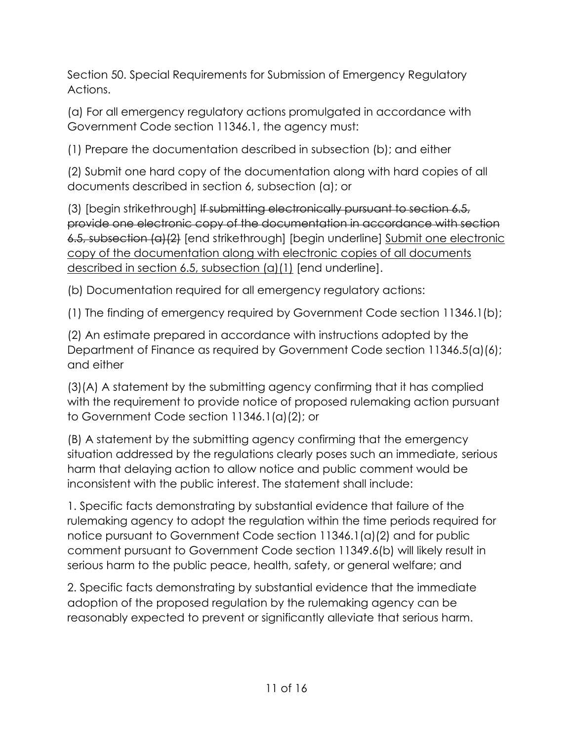Section 50. Special Requirements for Submission of Emergency Regulatory Actions.

(a) For all emergency regulatory actions promulgated in accordance with Government Code section 11346.1, the agency must:

(1) Prepare the documentation described in subsection (b); and either

(2) Submit one hard copy of the documentation along with hard copies of all documents described in section 6, subsection (a); or

(3) [begin strikethrough] If submitting electronically pursuant to section 6.5, provide one electronic copy of the documentation in accordance with section 6.5, subsection (a)(2) [end strikethrough] [begin underline] Submit one electronic copy of the documentation along with electronic copies of all documents described in section 6.5, subsection (a)(1) [end underline].

(b) Documentation required for all emergency regulatory actions:

(1) The finding of emergency required by Government Code section 11346.1(b);

(2) An estimate prepared in accordance with instructions adopted by the Department of Finance as required by Government Code section 11346.5(a)(6); and either

(3)(A) A statement by the submitting agency confirming that it has complied with the requirement to provide notice of proposed rulemaking action pursuant to Government Code section 11346.1(a)(2); or

(B) A statement by the submitting agency confirming that the emergency situation addressed by the regulations clearly poses such an immediate, serious harm that delaying action to allow notice and public comment would be inconsistent with the public interest. The statement shall include:

1. Specific facts demonstrating by substantial evidence that failure of the rulemaking agency to adopt the regulation within the time periods required for notice pursuant to Government Code section 11346.1(a)(2) and for public comment pursuant to Government Code section 11349.6(b) will likely result in serious harm to the public peace, health, safety, or general welfare; and

2. Specific facts demonstrating by substantial evidence that the immediate adoption of the proposed regulation by the rulemaking agency can be reasonably expected to prevent or significantly alleviate that serious harm.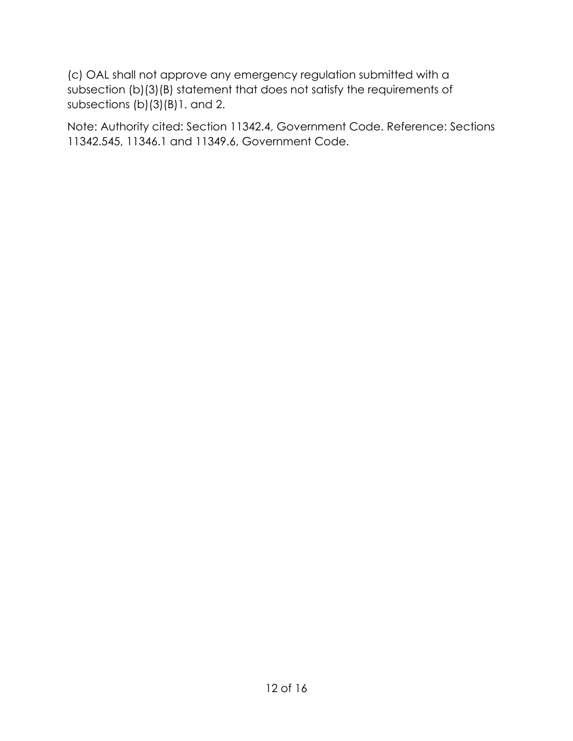(c) OAL shall not approve any emergency regulation submitted with a subsection (b)(3)(B) statement that does not satisfy the requirements of subsections (b)(3)(B)1. and 2.

Note: Authority cited: Section 11342.4, Government Code. Reference: Sections 11342.545, 11346.1 and 11349.6, Government Code.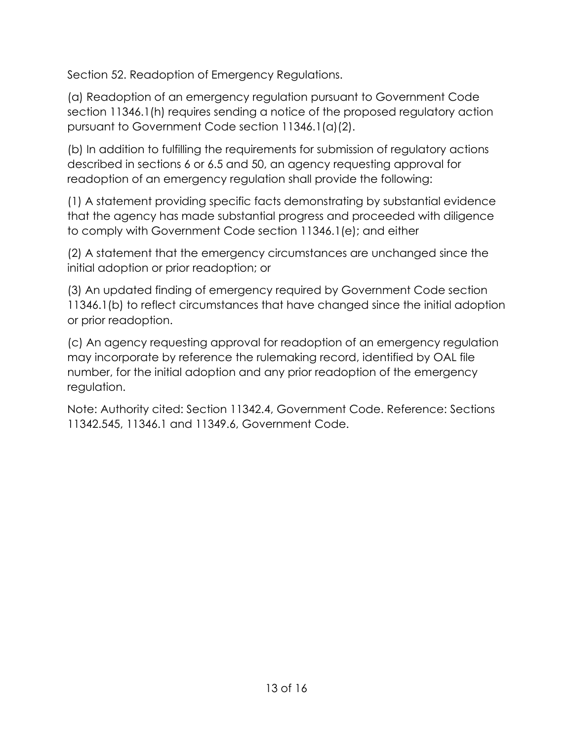Section 52. Readoption of Emergency Regulations.

(a) Readoption of an emergency regulation pursuant to Government Code section 11346.1(h) requires sending a notice of the proposed regulatory action pursuant to Government Code section 11346.1(a)(2).

(b) In addition to fulfilling the requirements for submission of regulatory actions described in sections 6 or 6.5 and 50, an agency requesting approval for readoption of an emergency regulation shall provide the following:

(1) A statement providing specific facts demonstrating by substantial evidence that the agency has made substantial progress and proceeded with diligence to comply with Government Code section 11346.1(e); and either

(2) A statement that the emergency circumstances are unchanged since the initial adoption or prior readoption; or

(3) An updated finding of emergency required by Government Code section 11346.1(b) to reflect circumstances that have changed since the initial adoption or prior readoption.

(c) An agency requesting approval for readoption of an emergency regulation may incorporate by reference the rulemaking record, identified by OAL file number, for the initial adoption and any prior readoption of the emergency regulation.

Note: Authority cited: Section 11342.4, Government Code. Reference: Sections 11342.545, 11346.1 and 11349.6, Government Code.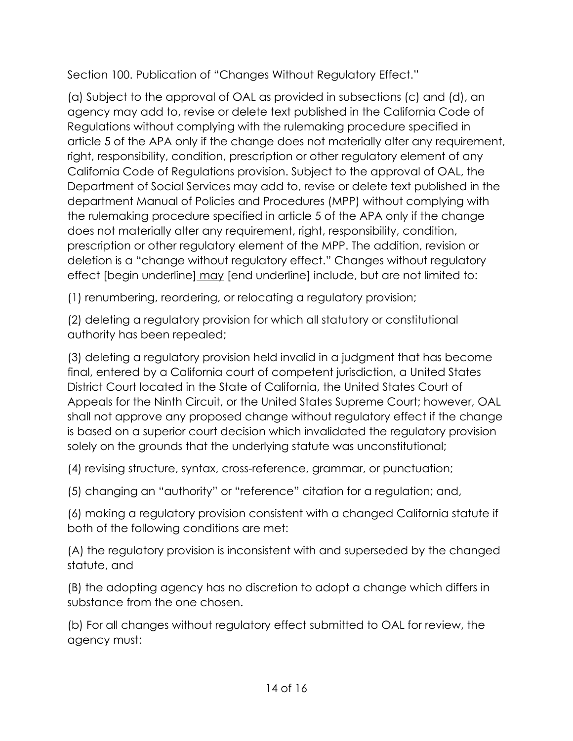Section 100. Publication of "Changes Without Regulatory Effect."

(a) Subject to the approval of OAL as provided in subsections (c) and (d), an agency may add to, revise or delete text published in the California Code of Regulations without complying with the rulemaking procedure specified in article 5 of the APA only if the change does not materially alter any requirement, right, responsibility, condition, prescription or other regulatory element of any California Code of Regulations provision. Subject to the approval of OAL, the Department of Social Services may add to, revise or delete text published in the department Manual of Policies and Procedures (MPP) without complying with the rulemaking procedure specified in article 5 of the APA only if the change does not materially alter any requirement, right, responsibility, condition, prescription or other regulatory element of the MPP. The addition, revision or deletion is a "change without regulatory effect." Changes without regulatory effect [begin underline] may [end underline] include, but are not limited to:

(1) renumbering, reordering, or relocating a regulatory provision;

(2) deleting a regulatory provision for which all statutory or constitutional authority has been repealed;

(3) deleting a regulatory provision held invalid in a judgment that has become final, entered by a California court of competent jurisdiction, a United States District Court located in the State of California, the United States Court of Appeals for the Ninth Circuit, or the United States Supreme Court; however, OAL shall not approve any proposed change without regulatory effect if the change is based on a superior court decision which invalidated the regulatory provision solely on the grounds that the underlying statute was unconstitutional;

(4) revising structure, syntax, cross-reference, grammar, or punctuation;

(5) changing an "authority" or "reference" citation for a regulation; and,

(6) making a regulatory provision consistent with a changed California statute if both of the following conditions are met:

(A) the regulatory provision is inconsistent with and superseded by the changed statute, and

(B) the adopting agency has no discretion to adopt a change which differs in substance from the one chosen.

(b) For all changes without regulatory effect submitted to OAL for review, the agency must: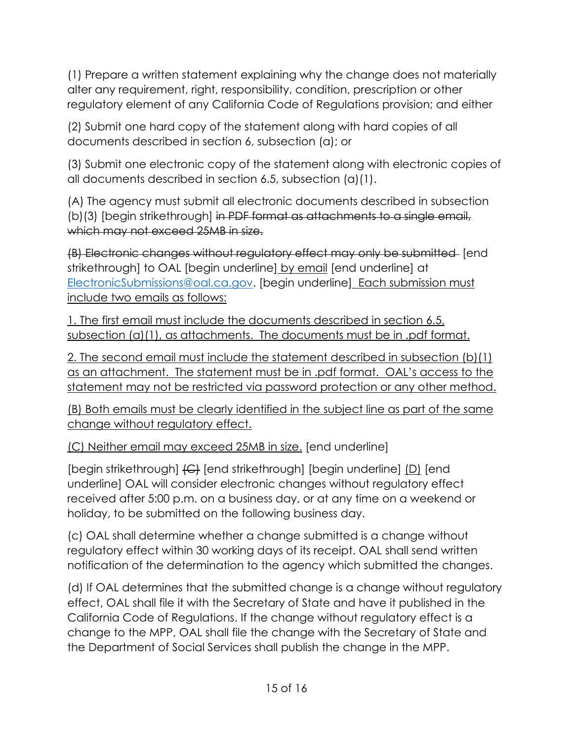(1) Prepare a written statement explaining why the change does not materially alter any requirement, right, responsibility, condition, prescription or other regulatory element of any California Code of Regulations provision; and either

(2) Submit one hard copy of the statement along with hard copies of all documents described in section 6, subsection (a); or

(3) Submit one electronic copy of the statement along with electronic copies of all documents described in section 6.5, subsection (a)(1).

(A) The agency must submit all electronic documents described in subsection (b)(3) [begin strikethrough] in PDF format as attachments to a single email, which may not exceed 25MB in size.

(B) Electronic changes without regulatory effect may only be submitted [end strikethrough] to OAL [begin underline] by email [end underline] at [ElectronicSubmissions@oal.ca.gov.](mailto:ElectronicSubmissions@oal.ca.gov) [begin underline] Each submission must include two emails as follows:

1. The first email must include the documents described in section 6.5, subsection (a)(1), as attachments. The documents must be in .pdf format.

2. The second email must include the statement described in subsection (b)(1) as an attachment. The statement must be in .pdf format. OAL's access to the statement may not be restricted via password protection or any other method.

(B) Both emails must be clearly identified in the subject line as part of the same change without regulatory effect.

(C) Neither email may exceed 25MB in size. [end underline]

[begin strikethrough] (C) [end strikethrough] [begin underline] (D) [end underline] OAL will consider electronic changes without regulatory effect received after 5:00 p.m. on a business day, or at any time on a weekend or holiday, to be submitted on the following business day.

(c) OAL shall determine whether a change submitted is a change without regulatory effect within 30 working days of its receipt. OAL shall send written notification of the determination to the agency which submitted the changes.

(d) If OAL determines that the submitted change is a change without regulatory effect, OAL shall file it with the Secretary of State and have it published in the California Code of Regulations. If the change without regulatory effect is a change to the MPP, OAL shall file the change with the Secretary of State and the Department of Social Services shall publish the change in the MPP.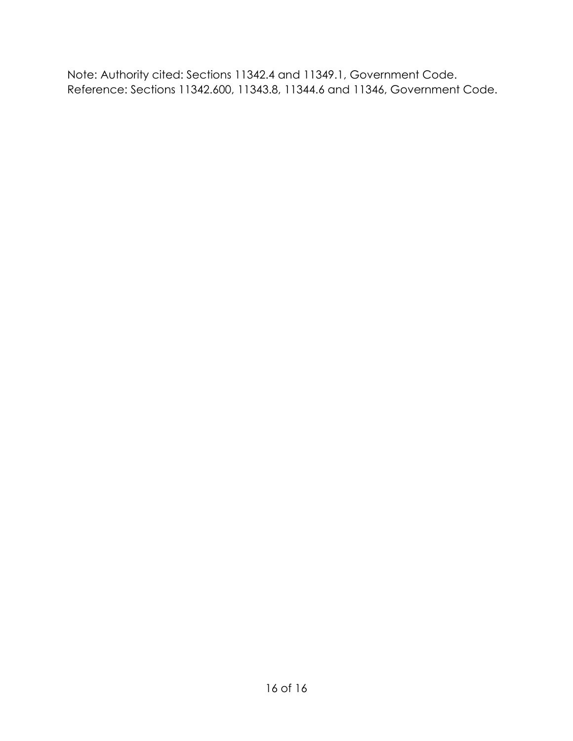Note: Authority cited: Sections 11342.4 and 11349.1, Government Code. Reference: Sections 11342.600, 11343.8, 11344.6 and 11346, Government Code.